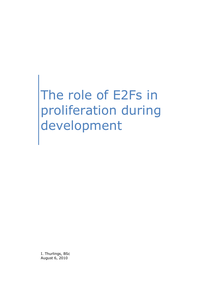The role of E2Fs in proliferation during development

I. Thurlings, BSc August 6, 2010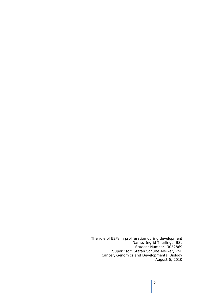The role of E2Fs in proliferation during development Name: Ingrid Thurlings, BSc Student Number: 3052869 Supervisor: Stefan Schulte-Merker, PhD Cancer, Genomics and Developmental Biology August 6, 2010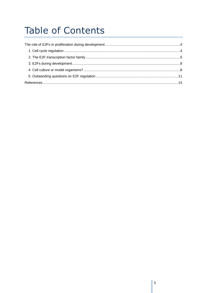# **Table of Contents**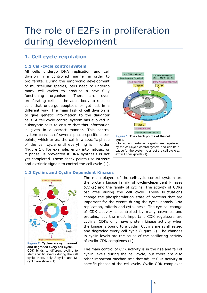## <span id="page-3-0"></span>The role of E2Fs in proliferation during development

## <span id="page-3-1"></span>**1. Cell cycle regulation**

#### **1.1 Cell-cycle control system**

All cells undergo DNA replication and cell division in a controlled manner in order to proliferate. During the embryonic development of multicellular species, cells need to undergo many cell cycles to produce a new fully functioning organism. There are even proliferating cells in the adult body to replace cells that undergo apoptosis or get lost in a different way. The main task of cell division is to give genetic information to the daughter cells. A cell-cycle control system has evolved in eukaryotic cells to ensure that this information is given in a correct manner. This control system consists of several phase-specific check points, which arrest the cell in a specific phase of the cell cycle until everything is in order (Figure 1). For example, entry into mitosis, or M-phase, is prevented if DNA synthesis is not yet completed. These check points use intrinsic and extrinsic signals to control the cell cycle (1).



#### **1.2 Cyclins and Cyclin Dependent Kinases**



The main players of the cell-cycle control system are the protein kinase family of cyclin-dependent kinases (CDKs) and the family of cyclins. The activity of CDKs oscillates during the cell cycle. These fluctuations change the phosphorylation state of proteins that are important for the events during the cycle, namely DNA replication, mitosis and cytokinesis. The cyclical change of CDK activity is controlled by many enzymes and proteins, but the most important CDK regulators are cyclins. CDKs only have protein kinase activity when the kinase is bound to a cyclin. Cyclins are synthesized and degraded every cell cycle [\(Figure 2\)](#page-3-2). The changes in cyclin levels are the cause of the oscillating activity of cyclin-CDK complexes (1).

<span id="page-3-2"></span>The main control of CDK activity is in the rise and fall of cyclin levels during the cell cycle, but there are also other important mechanisms that adjust CDK activity at specific phases of the cell cycle. Cyclin-CDK complexes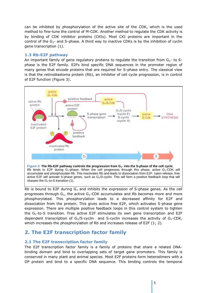can be inhibited by phosphorylation of the active site of the CDK, which is the used method to fine-tune the control of M-CDK. Another method to regulate the CDK activity is by binding of CDK inhibitor proteins (CKIs). Most CKI proteins are important in the control of the  $G_1$ - and S-phase. A third way to inactive CDKs is by the inhibition of cyclin gene transcription (1).

#### **1.3 Rb-E2F pathway**

An important family of gene regulatory proteins to regulate the transition from  $G_1$ - to Sphase is the E2F family. E2Fs bind specific DNA sequences in the promoter region of many genes that encode proteins that are required for S-phase entry. The classical view is that the retinoblastoma protein (Rb), an inhibitor of cell cycle progression, is in control of E2F function [\(Figure 3\)](#page-4-1).



<span id="page-4-1"></span>Rb binds to E2F during  $G_1$ -phase. When the cell progresses through this phase, active  $G_1$ -CDK will accumulate and phosphorylate Rb. This inactivates Rb and leads to dissociation from E2F. Upon release, free active E2F will activate S-phase genes, such as G<sub>1</sub>/S-cyclin. This will form a positive feedback loop that will sharpen the  $G_1$ -to-S transition (1).

Rb is bound to E2F during  $G_1$  and inhibits the expression of S-phase genes. As the cell progresses through  $G_1$ , the active  $G_1$ -CDK accumulates and Rb becomes more and more phosphorylated. This phosphorylation leads to a decreased affinity for E2F and dissociation from the protein. This gives active free E2F, which activates S-phase gene expression. There are multiple positive feedback loops in this control system to tighten the  $G_1$ -to-S transition. Free active E2F stimulates its own gene transcription and E2F dependent transcription of  $G_1/S$ -cyclin and S-cyclin increases the activity of  $G_1$ -CDK, which increases the phosphorylation of Rb and increases release of E2F (1; 2).

## <span id="page-4-0"></span>**2. The E2F transcription factor family**

#### **2.1 The E2F transcription factor family**

The E2F transcription factor family is a family of proteins that share a related DNAbinding domain and bind to overlapping sets of target gene promoters. This family is conserved in many plant and animal species. Most E2F proteins form heterodimers with a DP protein and bind to a specific DNA sequence. This binding controls the temporal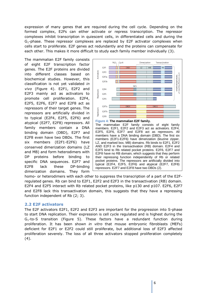expression of many genes that are required during the cell cycle. Depending on the formed complex, E2Fs can either activate or repress transcription. The repressor complexes inhibit transcription in quiescent cells, in differentiated cells and during the G1-phase. These repressor complexes are replaced by E2F activator complexes when cells start to proliferate. E2F genes act redundantly and the proteins can compensate for each other. This makes it more difficult to study each family member individually (3).

The mammalian E2F family consists of eight E2F transcription factor genes. The E2F proteins are divided into different classes based on biochemical studies. However, this classification is not yet validated *in vivo* [\(Figure 4\)](#page-5-0). E2F1, E2F2 and E2F3 mainly act as activators to promote cell proliferation. E2F4, E2F5, E2F6, E2F7 and E2F8 act as repressors of their target genes. The repressors are artificially divided in to typical (E2F4, E2F5, E2F6) and atypical (E2F7, E2F8) repressors. All family members contain a DNA binding domain (DBD), E2F7 and E2F8 even have two DBDs. The first six members (E2F1-E2F6) have conserved dimerization domains (LZ and MB) and form heterodimers with DP proteins before binding to specific DNA sequences. E2F7 and E2F8 lack these DP-binding dimerization domains. They form

<span id="page-5-0"></span>

homo- or heterodimers with each other to suppress the transcription of a part of the E2Fregulated genes. Rb can bind to E2F1, E2F2 and E2F3 in the transactivation (RB) domain. E2F4 and E2F5 interact with Rb related pocket proteins, like p130 and p107. E2F6, E2F7 and E2F8 lack this transactivation domain, this suggests that they have a repressing function independent of Rb (2; 3).

#### **2.2 E2F activators**

The E2F activators E2F1, E2F2 and E2F3 are important for the progression into S-phase to start DNA replication. Their expression is cell cycle regulated and is highest during the  $G_1$ -to-S transition [\(Figure 5\)](#page-6-0). These factors have a redundant function during proliferation. It has been shown *in vitro* that mouse embryonic fibroblasts (MEFs) deficient for E2F1 or E2F2 could still proliferate, but additional loss of E2F3 affected proliferation severely. The loss of all three activators stopped proliferation completely  $(4).$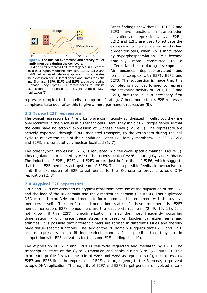<span id="page-6-0"></span>

Other findings show that E2F1, E2F2 and E2F3 have functions in transcription activation and repression *in vivo*. E2F1, E2F2 and E2F3 are used to activate the expression of target genes in dividing progenitor cells, when Rb is inactivated by hyperphosphorylation. Cells become gradually more committed to a differentiated state during development. Rb becomes dephosphorylated and forms a complex with E2F1, E2F2 and E2F3. The suggestion is made that this complex is not just formed to repress the activating activity of E2F1, E2F2 and E2F3, but that it is a necessary first

repressor complex to help cells to stop proliferating. Other, more stable, E2F repressor complexes take over after this to give a more permanent repression (5).

#### **2.3 Typical E2F repressors**

The typical repressors E2F4 and E2F5 are continuously synthesized in cells, but they are only localized in the nucleus in quiescent cells. Here, they inhibit E2F target genes so that the cells have no ectopic expression of S-phase genes [\(Figure 5\)](#page-6-0). The repressors are actively exported, through CRM1-mediated transport, to the cytoplasm during the cell cycle to relieve the cells of their inhibition. Other E2F family members, like E2F1, E2F2 and E2F3, are constitutively nuclear localized (6; 7).

The other typical repressor, E2F6, is regulated in a cell cycle specific manner [\(Figure 5\)](#page-6-0). This regulation is mediated by E2F1. The activity peak of E2F6 is during  $G_1$ - and S-phase. The induction of E2F1, E2F2 and E2F3 occurs just before that of E2F6, which suggests that these E2F members act upstream of E2F6. This is a possible feedback mechanism to limit the expression of E2F target genes to the S-phase to prevent ectopic DNA replication (2; 8).

#### **2.4 Atypical E2F repressors**

E2F7 and E2F8 are classified as atypical repressors because of the duplication of the DBD and the lack of the RB domain and the dimerization domain [\(Figure 4\)](#page-5-0). This duplicated DBD can both bind DNA and dimerize to form homo- and heterodimers with the atypical members itself. The preferred dimerization state of these members is E2F7 homodimerization. E2F8 homodimers are the least preferred form (2; 9; 10; 11). It is not known if this E2F7 homodimerization is also the most frequently occurring dimerization *in vivo*, since these states are based on biochemical experiments and affinities. It is possible that different dimers are formed in different tissues and thereby have tissue-specific functions. The lack of the RB domain suggests that E2F7 and E2F8 act as repressors in an Rb-independent manner. It is possible that they are in competition with E2F activators for the same E2F-binding sites (9).

The expression of E2F7 and E2F8 is cell-cycle regulated and mediated by E2F1. The transcription starts at the  $G_1$ -to-S transition and peaks during S-to- $G_2$  [\(Figure 5\)](#page-6-0). This expression profile fits with the role of E2F7 and E2F8 as repressors of gene expression. E2F7 and E2F8 limit the expression of E2F1, a target gene, to the S-phase, to prevent ectopic DNA replication. The majority of E2F7 and E2F8 target genes are involved in cell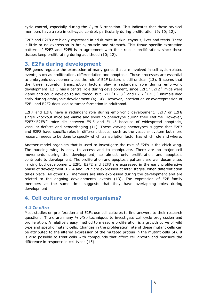cycle control, especially during the  $G_1$ -to-S transition. This indicates that these atypical members have a role in cell-cycle control, particularly during proliferation (9; 10; 12).

E2F7 and E2F8 are highly expressed in adult mice in skin, thymus, liver and testis. There is little or no expression in brain, muscle and stomach. This tissue specific expression pattern of E2F7 and E2F8 is in agreement with their role in proliferation, since these tissues keep proliferating during adulthood (10; 12).

## <span id="page-7-0"></span>**3. E2Fs during development**

E2F genes regulate the expression of many genes that are involved in cell cycle-related events, such as proliferation, differentiation and apoptosis. These processes are essential to embryonic development, but the role of E2F factors is still unclear (13). It seems that the three activator transcription factors play a redundant role during embryonic development. E2F3 has a central role during development, since E2F1 $\cdot$  E2F2 $\cdot$  mice were viable and could develop to adulthood, but  $E2F1^{-/}E2F3^{-/}$  and  $E2F2^{-/}E2F3^{-/}$  animals died early during embryonic development (4; 14). However, inactivation or overexpression of E2F1 and E2F2 does lead to tumor formation in adulthood.

E2F7 and E2F8 have a redundant role during embryonic development. E2F7 or E2F8 single knockout mice are viable and show no phenotype during their lifetime. However,  $E2F7^{-/}E2F8^{-/}$  mice die between E9.5 and E11.5 because of widespread apoptosis, vascular defects and hemorrhaging (11). These varying phenotypes suggest that E2F7 and E2F8 have specific roles in different tissues, such as the vascular system but more research needs to be done to specify which transcription factor has which role and where.

Another model organism that is used to investigate the role of E2Fs is the chick wing. The budding wing is easy to access and to manipulate. There are no major cell movements during the development, so almost only proliferation and apoptosis contribute to development. The proliferation and apoptosis patterns are well documented in wing bud development. E2F1, E2F2 and E2F3 are expressed in the early proliferative phase of development. E2F4 and E2F7 are expressed at later stages, when differentiation takes place. All other E2F members are also expressed during the development and are related to the ongoing developmental events (13). The expression of E2F family members at the same time suggests that they have overlapping roles during development.

### <span id="page-7-1"></span>**4. Cell culture or model organisms?**

#### **4.1** *In vitro*

Most studies on proliferation and E2Fs use cell cultures to find answers to their research questions. There are many *in vitro* techniques to investigate cell cycle progression and proliferation. A relatively easy method to measure proliferation is a growth curve of wild type and specific mutant cells. Changes in the proliferation rate of these mutant cells can be attributed to the altered expression of the mutated protein in the mutant cells (4). It is also possible to treat cells with compounds that affect cell growth and measure the difference in response in cell types (15).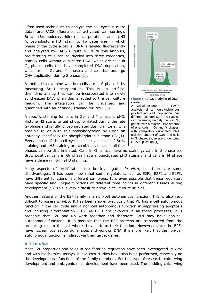Often used techniques to analyze the cell cycle in more detail are FACS (fluorescence activated cell sorting), BrdU (Bromodeoxyuridine) incorporation and pH3 (phosphohistone H3) staining. To determine in which phase of the cycle a cell is, DNA is labeled fluorescently and analyzed by FACS [\(Figure 6\)](#page-8-0). With this analysis, proliferating cells can be divided into three categories, namely cells without duplicated DNA, which are cells in  $G_1$  phase; cells that have completed DNA duplication, which are in  $G_2$  and M phases; and cell that undergo DNA duplication during S phase (1).

A method to examine whether cells are in S phase is by measuring BrdU incorporation. This is an artificial thymidine analog that can be incorporated into newly synthesized DNA when this is added to the cell culture medium. The integration can be visualized and quantified with an antibody staining for BrdU (1).

A specific staining for cells in  $G_2$ - and M phase is pH3. Histone H3 starts to get phosphorylated during the late  $G<sub>2</sub>$  phase and is fully phosphorylated during mitosis. It is possible to visualize this phosphorylation by using an antibody specifically for phosphorylated histone H3 (1). Every phase of the cell cycle can be visualized if BrdU staining and pH3 staining are combined, because all four

<span id="page-8-0"></span>

phases can be discriminated. Cells in  $G_1$  phase have no staining, cells in S phase are BrdU positive, cells in  $G_2$  phase have a punctuated pH3 staining and cells in M phase have a dense uniform pH3 staining.

Many aspects of proliferation can be investigated *in vitro*, but there are some disadvantages. It has been shown that some regulators, such as E2F1, E2F2 and E2F3, have different functions in different cell types. It is even possible that these regulators have specific and unique functions at different time points in different tissues during development (5). This is very difficult to prove in cell culture studies.

Another feature of the E2F family is a non-cell autonomous function. This is also very difficult to assess *in vitro*. It has been shown previously that Rb has a cell autonomous function in the cell cycle and a non-cell autonomous function in suppressing apoptosis and inducing differentiation (16). As E2Fs are involved in all these processes, it is probable that E2F and Rb work together and therefore E2Fs may have non-cell autonomous functions. It is possible that the E2F proteins are transported from the producing cell to the cell where they perform their function. However, since the E2Fs have nuclear localization signal sites and work on DNA, it is more likely that the non-cell autonomous function is indirect via their target genes.

#### **4.2** *In vivo*

Most E2F properties and roles in proliferation regulation have been investigated *in vitro* and with biochemical assays, but *in vivo* studies have also been performed, especially on the developmental functions of the family members. For this type of research, chick wing development and embryonic mice development have been used. The budding chick wing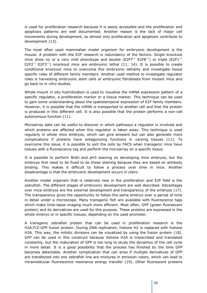is used for proliferation research because it is easily accessible and the proliferation and apoptosis patterns are well documented. Another reason is the lack of major cell movements during development, so almost only proliferation and apoptosis contribute to development (13).

The most often used mammalian model organism for embryonic development is the mouse. A problem with the E2F research is redundancy of the factors. Single knockout mice show no or a very mild phenotype and double (E2F7 $^{-/-}$  E2F8 $^{-/-}$ ) or triple (E2F1 $^{-/-}$ E2F2<sup>-/-</sup> E2F3<sup>-/-</sup>) knockout mice are embryonic lethal (11; 14). It is possible to create conditional knockout mice to overcome this embryonic lethality and investigate tissue specific roles of different family members. Another used method to investigate regulator roles is harvesting embryonic stem cells or embryonic fibroblasts from mutant mice and go back to *in vitro* studies.

Whole-mount *in situ* hybridization is used to visualize the mRNA expression pattern of a specific regulator, a proliferation marker or a tissue marker. This technique can be used to gain some understanding about the spatiotemporal expression of E2F family members. However, it is possible that the mRNA is transported to another cell and that the protein is produced in this different cell. It is also possible that the protein performs a non-cell autonomous function (11).

Microarray data can be useful to discover in which pathways a regulator is involved and which proteins are affected when this regulator is taken away. This technique is used regularly in whole mice embryos, which can give answers but can also generate more complications if proteins have antagonizing functions in varying tissues (11). To overcome this issue, it is possible to sort the cells by FACS when transgenic mice have tissues with a fluorescence tag and perform the microarray on a specific tissue.

It is possible to perform BrdU and pH3 staining on developing mice embryos, but the embryos first need to be fixed to do these staining because they are based on antibody binding. This makes it difficult to follow a process over time in mice. Another disadvantage is that the embryonic development occurs *in utero*.

Another model organism that is relatively new in the proliferation and E2F field is the zebrafish. The different stages of embryonic development are well described. Advantages over mice embryos are the external development and transparency of the embryos (17). The transparency gives the opportunity to follow the same embryo over a period of time in detail under a microscope. Many transgenic fish are available with fluorescence tags which make time-lapse imaging much more efficient. Most often, GFP (green fluorescent protein) and its derivatives are used for this purpose. These proteins are expressed in the whole embryo or in specific tissues, depending on the used promoter.

A transgenic zebrafish protein that can be used in proliferation research is the H2A.F/Z:GFP fusion protein. During DNA replication, histone H2 is replaced with histone H2A. This way, the mitotic divisions can be visualized by using the fusion protein (18). GFP can be used in this construct because histone H2A is transcribed and translated constantly, but the maturation of GFP is too long to study the dynamics of the cell cycle in more detail. It is a good possibility that the process has finished by the time GFP becomes detectable. Another complication that can arise if multiple derivatives of GFP are transfected into one zebrafish line are mixtures in emission colors, which can lead to intramolecular fluorescence resonance energy transfer (19). Other fluorescent proteins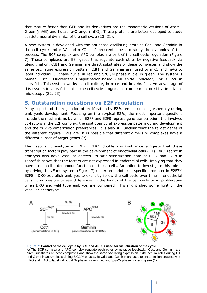that mature faster than GFP and its derivatives are the monomeric versions of Azami-Green (mAG) and Kusabira-Orange (mKO). These proteins are better equipped to study spatiotemporal dynamics of the cell cycle (20; 21).

A new system is developed with the antiphase oscillating proteins Cdt1 and Geminin in the cell cycle and mAG and mKO as fluorescent labels to study the dynamics of this process. The SCF complex and APC complex are part of the cell cycle regulation [\(Figure](#page-10-1)  [7\)](#page-10-1). These complexes are E3 ligases that regulate each other by negative feedback via ubiquitination. Cdt1 and Geminin are direct substrates of these complexes and show the same oscillating expression pattern. Cdt1 and Geminin are fused to mKO and mAG to label individual  $G_1$  phase nuclei in red and  $S/G_2/M$  phase nuclei in green. The system is named Fucci (Fluorescent Ubiquitination-based Cell Cycle Indicator), or zFucci in zebrafish. This system works in cell culture, in mice and in zebrafish. An advantage of this system in zebrafish is that the cell cycle progression can be monitored by time-lapse microscopy (22; 23).

### <span id="page-10-0"></span>**5. Outstanding questions on E2F regulation**

Many aspects of the regulation of proliferation by E2Fs remain unclear, especially during embryonic development. Focusing on the atypical E2Fs, the most important questions include the mechanisms by which E2F7 and E2F8 repress gene transcription, the involved co-factors in the E2F complex, the spatiotemporal expression pattern during development and the *in vivo* dimerization preferences. It is also still unclear what the target genes of the different atypical E2Fs are. It is possible that different dimers or complexes have a different subset of target genes (9).

The vascular phenotype in  $E2F7^{-/-}E2F8^{-/-}$  double knockout mice suggests that these transcription factors play part in the development of endothelial cells (11). DKO zebrafish embryos also have vascular defects. *In situ* hybridization data of E2F7 and E2F8 in zebrafish shows that the factors are not expressed in endothelial cells, implying that they have a non-cell autonomous function on these cells. An option to investigate this role is by driving the zFucci system [\(Figure 7\)](#page-10-1) under an endothelial specific promoter in E2F7 $\frac{1}{2}$  $E2F8^{-/-}$  DKO zebrafish embryos to explicitly follow the cell cycle over time in endothelial cells. It is possible to see differences in the length of the cell cycle or in proliferation when DKO and wild type embryos are compared. This might shed some light on the vascular phenotype.

<span id="page-10-1"></span>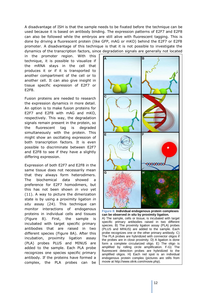A disadvantage of ISH is that the sample needs to be fixated before the technique can be used because it is based on antibody binding. The expression patterns of E2F7 and E2F8 can also be followed while the embryos are still alive with fluorescent tagging. This is done by driving a fluorescent protein (like GFP, mAG or mKO) behind the E2F7 or E2F8 promoter. A disadvantage of this technique is that it is not possible to investigate the dynamics of the transcription factors, since degradation signals are generally not located

in the promoter region. With this technique, it is possible to visualize if the mRNA stays in the cell that produces it or if it is transported to another compartment of the cell or to another cell. It can also give insight in tissue specific expression of E2F7 or E2F8.

Fusion proteins are needed to research the expression dynamics in more detail. An option is to make fusion proteins for E2F7 and E2F8 with mAG and mKO, respectively. This way, the degradation signals remain present in the protein, so the fluorescent tag is degraded simultaneously with the protein. This might show an oscillating expression of both transcription factors. It is even possible to discriminate between E2F7 and E2F8 to see if they have a slightly differing expression.

Expression of both E2F7 and E2F8 in the same tissue does not necessarily mean that they always form heterodimers. The biochemical data showed a preference for E2F7 homodimers, but this has not been shown *in vivo* yet (11). A way to picture the dimerization state is by using a proximity ligation *in situ* assay (24). This technique can monitor interactions of endogenous proteins in individual cells and tissues [\(Figure 8\)](#page-11-0). First, the sample is incubated with target specific primary antibodies that are raised in two different species [\(Figure 8A](#page-11-0)). After this incubation, proximity ligation assay (PLA) probes PLUS and MINUS are added to the sample. Each PLA probe recognizes one species specific primary antibody. If the proteins have formed a complex, the PLA probes can be



<span id="page-11-0"></span>**Figure 8: Individual endogenous protein complexes can be observed** *in situ* **by proximity ligation.**

A) The sample, cells or tissue, is incubated with target specific primary antibodies raised in two different species. B) The proximity ligation assay (PLA) probes (PLUS and MINUS) are added to the sample. Each probe recognizes one or the other primary antibody. C) The PLA probes are hybridized with connector oligos if the probes are in close proximity. D) A ligation is done form a complete circularized oligo. E) The oligo is amplified by rolling circle amplification. F-G) The fluorescent detection probes are hybridized to the amplified oligos. H) Each red spot is an individual endogenous protein complex (pictures are stills from movie at http://www.olink.com/movie.php).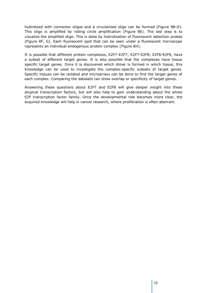hybridized with connector oligos and a circularized oligo can be formed [\(Figure 8B](#page-11-0)-D). This oligo is amplified by rolling circle amplification [\(Figure 8E](#page-11-0)). The last step is to visualize the amplified oligo. This is done by hybridization of fluorescent detection probes [\(Figure 8F](#page-11-0), G). Each fluorescent spot that can be seen under a fluorescent microscope represents an individual endogenous protein complex [\(Figure 8H](#page-11-0)).

It is possible that different protein complexes, E2F7-E2F7; E2F7-E2F8; E2F8-E2F8, have a subset of different target genes. It is also possible that the complexes have tissue specific target genes. Once it is discovered which dimer is formed in which tissue, this knowledge can be used to investigate the complex-specific subsets of target genes. Specific tissues can be isolated and microarrays can be done to find the target genes of each complex. Comparing the datasets can show overlap or specificity of target genes.

Answering these questions about E2F7 and E2F8 will give deeper insight into these atypical transcription factors, but will also help to gain understanding about the whole E2F transcription factor family. Once the developmental role becomes more clear, the acquired knowledge will help in cancer research, where proliferation is often aberrant.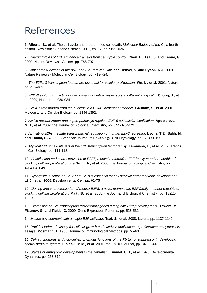## <span id="page-13-0"></span>References

1. **Alberts, B., et al.** The cell cycle and programmed cell death. *Molecular Biology of the Cell.* fourth edition. New York : Garland Science, 2002, ch. 17, pp. 983-1026.

2. *Emerging roles of E2Fs in cancer: an exit from cell cycle control.* **Chen, H., Tsai, S. and Leone, G.** 2009, Nature Reviews - Cancer, pp. 785-797.

3. *Conserved functions of the pRB and E2F families.* **van den Heuvel, S. and Dyson, N.J.** 2008, Nature Reviews - Molecular Cell Biology, pp. 713-724.

4. *The E2F1-3 transcription factors are essential for cellular proliferation.* **Wu, L., et al.** 2001, Nature, pp. 457-462.

5. *E2f1-3 switch from activators in progenitor cells to repressors in differentiating cells.* **Chong, J., et al.** 2009, Nature, pp. 930-934.

6. *E2F4 is transported from the nucleus in a CRM1-dependent manner.* **Gaubatz, S., et al.** 2001, Molecular and Cellular Biology, pp. 1384-1392.

7. *Active nuclear import and export pathways regulate E2F-5 subcellular localization.* **Apostolova, M.D., et al.** 2002, the Journal of Biological Chemistry, pp. 34471-34479.

8. Activating E2Fs mediate transcriptional regulation of human E2F6 repressor. **Lyons, T.E., Salih, M. and Tuana, B.S.** 2005, American Journal of Physiology. Cell Physiology, pp. C189-C199.

9. *Atypical E2Fs: new players in the E2F transcription factor family.* **Lammens, T., et al.** 2009, Trends in Cell Biology, pp. 111-118.

10. *Identification and characterization of E2F7, a novel mammalian E2F family member capable of blocking cellular proliferation.* **de Bruin, A., et al.** 2003, the Journal of Biological Chemistry, pp. 42041-42049.

11. *Synergistic function of E2F7 and E2F8 is essential for cell survival and embryonic development.*  **Li, J., et al.** 2008, Developmental Cell, pp. 62-75.

12. *Cloning and characterization of mouse E2F8, a novel mammalian E2F family member capable of blocking cellular proliferation.* **Maiti, B., et al.** 2005, the Journal of Biological Chemistry, pp. 18211- 13220.

13. *Expression of E2F transcription factor family genes during chick wing development.* **Towers, M., Fisunov, G. and Tickle, C.** 2009, Gene Expression Patterns, pp. 528-531.

14. *Mouse development with a single E2F activator.* **Tsai, S., et al.** 2008, Nature, pp. 1137-1142.

15. *Rapid colorimetric assay for cellular growth and survival: application to proliferation an cytotoxicity assays.* **Mosmann, T.** 1983, Journal of Immunological Methods, pp. 55-63.

16. *Cell-autonomous and non-cell-autonomous functions of the Rb tumor suppressor in developing central nervous system.* **Lipinski, M.M., et al.** 2001, the EMBO Journal, pp. 3402-3413.

17. *Stages of embryonic development in the zebrafish.* **Kimmel, C.B., et al.** 1995, Developmental Dynamics, pp. 253-310.